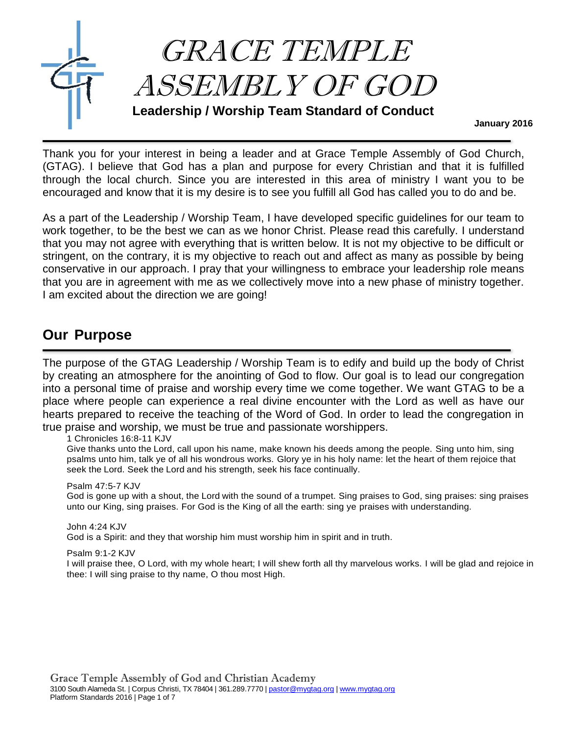

Thank you for your interest in being a leader and at Grace Temple Assembly of God Church, (GTAG). I believe that God has a plan and purpose for every Christian and that it is fulfilled through the local church. Since you are interested in this area of ministry I want you to be encouraged and know that it is my desire is to see you fulfill all God has called you to do and be.

**January 2016**

As a part of the Leadership / Worship Team, I have developed specific guidelines for our team to work together, to be the best we can as we honor Christ. Please read this carefully. I understand that you may not agree with everything that is written below. It is not my objective to be difficult or stringent, on the contrary, it is my objective to reach out and affect as many as possible by being conservative in our approach. I pray that your willingness to embrace your leadership role means that you are in agreement with me as we collectively move into a new phase of ministry together. I am excited about the direction we are going!

## **Our Purpose**

The purpose of the GTAG Leadership / Worship Team is to edify and build up the body of Christ by creating an atmosphere for the anointing of God to flow. Our goal is to lead our congregation into a personal time of praise and worship every time we come together. We want GTAG to be a place where people can experience a real divine encounter with the Lord as well as have our hearts prepared to receive the teaching of the Word of God. In order to lead the congregation in true praise and worship, we must be true and passionate worshippers.

1 Chronicles 16:8-11 KJV

Give thanks unto the Lord, call upon his name, make known his deeds among the people. Sing unto him, sing psalms unto him, talk ye of all his wondrous works. Glory ye in his holy name: let the heart of them rejoice that seek the Lord. Seek the Lord and his strength, seek his face continually.

### Psalm 47:5-7 KJV

God is gone up with a shout, the Lord with the sound of a trumpet. Sing praises to God, sing praises: sing praises unto our King, sing praises. For God is the King of all the earth: sing ye praises with understanding.

John 4:24 KJV God is a Spirit: and they that worship him must worship him in spirit and in truth.

Psalm 9:1-2 KJV

I will praise thee, O Lord, with my whole heart; I will shew forth all thy marvelous works. I will be glad and rejoice in thee: I will sing praise to thy name, O thou most High.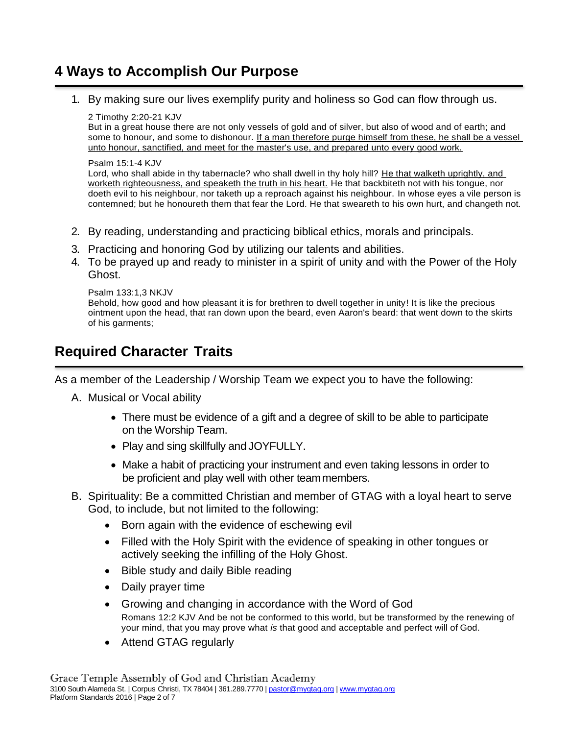# **4 Ways to Accomplish Our Purpose**

1. By making sure our lives exemplify purity and holiness so God can flow through us.

### 2 Timothy 2:20-21 KJV

But in a great house there are not only vessels of gold and of silver, but also of wood and of earth; and some to honour, and some to dishonour. If a man therefore purge himself from these, he shall be a vessel unto honour, sanctified, and meet for the master's use, and prepared unto every good work.

### Psalm 15:1-4 KJV

Lord, who shall abide in thy tabernacle? who shall dwell in thy holy hill? He that walketh uprightly, and worketh righteousness, and speaketh the truth in his heart. He that backbiteth not with his tongue, nor doeth evil to his neighbour, nor taketh up a reproach against his neighbour. In whose eyes a vile person is contemned; but he honoureth them that fear the Lord. He that sweareth to his own hurt, and changeth not.

- 2. By reading, understanding and practicing biblical ethics, morals and principals.
- 3. Practicing and honoring God by utilizing our talents and abilities.
- 4. To be prayed up and ready to minister in a spirit of unity and with the Power of the Holy Ghost.

```
Psalm 133:1,3 NKJV
Behold, how good and how pleasant it is for brethren to dwell together in unity! It is like the precious 
ointment upon the head, that ran down upon the beard, even Aaron's beard: that went down to the skirts 
of his garments;
```
# **Required Character Traits**

As a member of the Leadership / Worship Team we expect you to have the following:

- A. Musical or Vocal ability
	- There must be evidence of a gift and a degree of skill to be able to participate on the Worship Team.
	- Play and sing skillfully and JOYFULLY.
	- Make a habit of practicing your instrument and even taking lessons in order to be proficient and play well with other teammembers.
- B. Spirituality: Be a committed Christian and member of GTAG with a loyal heart to serve God, to include, but not limited to the following:
	- Born again with the evidence of eschewing evil
	- Filled with the Holy Spirit with the evidence of speaking in other tongues or actively seeking the infilling of the Holy Ghost.
	- Bible study and daily Bible reading
	- Daily prayer time
	- Growing and changing in accordance with the Word of God Romans 12:2 KJV And be not be conformed to this world, but be transformed by the renewing of your mind, that you may prove what *is* that good and acceptable and perfect will of God.
	- Attend GTAG regularly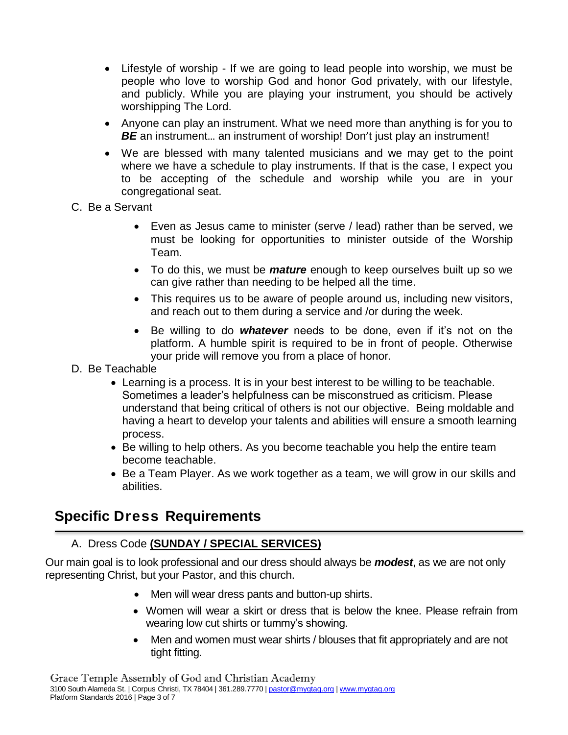- Lifestyle of worship If we are going to lead people into worship, we must be people who love to worship God and honor God privately, with our lifestyle, and publicly. While you are playing your instrument, you should be actively worshipping The Lord.
- Anyone can play an instrument. What we need more than anything is for you to **BE** an instrument... an instrument of worship! Don't just play an instrument!
- We are blessed with many talented musicians and we may get to the point where we have a schedule to play instruments. If that is the case, I expect you to be accepting of the schedule and worship while you are in your congregational seat.
- C. Be a Servant
	- Even as Jesus came to minister (serve / lead) rather than be served, we must be looking for opportunities to minister outside of the Worship Team.
	- To do this, we must be *mature* enough to keep ourselves built up so we can give rather than needing to be helped all the time.
	- This requires us to be aware of people around us, including new visitors, and reach out to them during a service and /or during the week.
	- Be willing to do *whatever* needs to be done, even if it's not on the platform. A humble spirit is required to be in front of people. Otherwise your pride will remove you from a place of honor.
- D. Be Teachable
	- Learning is a process. It is in your best interest to be willing to be teachable. Sometimes a leader's helpfulness can be misconstrued as criticism. Please understand that being critical of others is not our objective. Being moldable and having a heart to develop your talents and abilities will ensure a smooth learning process.
	- Be willing to help others. As you become teachable you help the entire team become teachable.
	- Be a Team Player. As we work together as a team, we will grow in our skills and abilities.

# **Specific Dress Requirements**

### A. Dress Code **(SUNDAY / SPECIAL SERVICES)**

Our main goal is to look professional and our dress should always be *modest*, as we are not only representing Christ, but your Pastor, and this church.

- Men will wear dress pants and button-up shirts.
- Women will wear a skirt or dress that is below the knee. Please refrain from wearing low cut shirts or tummy's showing.
- Men and women must wear shirts / blouses that fit appropriately and are not tight fitting.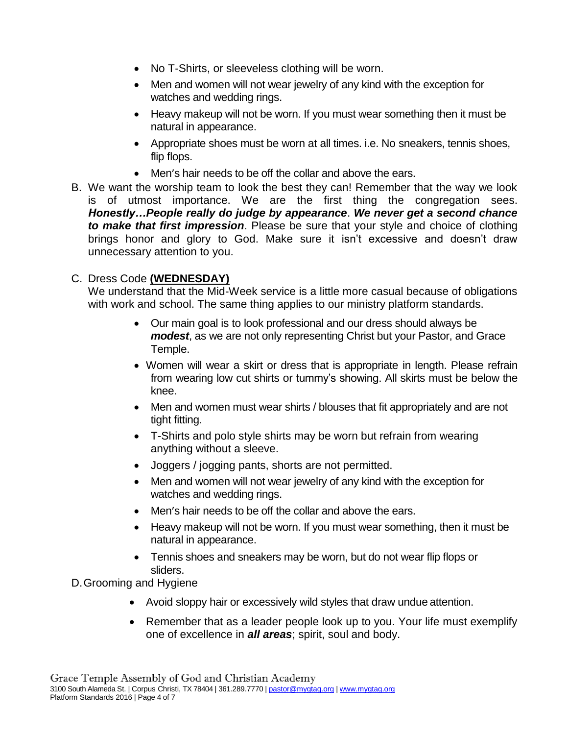- No T-Shirts, or sleeveless clothing will be worn.
- Men and women will not wear jewelry of any kind with the exception for watches and wedding rings.
- Heavy makeup will not be worn. If you must wear something then it must be natural in appearance.
- Appropriate shoes must be worn at all times. i.e. No sneakers, tennis shoes, flip flops.
- Men's hair needs to be off the collar and above the ears.
- B. We want the worship team to look the best they can! Remember that the way we look is of utmost importance. We are the first thing the congregation sees. *Honestly…People really do judge by appearance*. *We never get a second chance to make that first impression*. Please be sure that your style and choice of clothing brings honor and glory to God. Make sure it isn't excessive and doesn't draw unnecessary attention to you.

### C. Dress Code **(WEDNESDAY)**

We understand that the Mid-Week service is a little more casual because of obligations with work and school. The same thing applies to our ministry platform standards.

- Our main goal is to look professional and our dress should always be *modest*, as we are not only representing Christ but your Pastor, and Grace Temple.
- Women will wear a skirt or dress that is appropriate in length. Please refrain from wearing low cut shirts or tummy's showing. All skirts must be below the knee.
- Men and women must wear shirts / blouses that fit appropriately and are not tight fitting.
- T-Shirts and polo style shirts may be worn but refrain from wearing anything without a sleeve.
- Joggers / jogging pants, shorts are not permitted.
- Men and women will not wear jewelry of any kind with the exception for watches and wedding rings.
- Men's hair needs to be off the collar and above the ears.
- Heavy makeup will not be worn. If you must wear something, then it must be natural in appearance.
- Tennis shoes and sneakers may be worn, but do not wear flip flops or sliders.

D.Grooming and Hygiene

- Avoid sloppy hair or excessively wild styles that draw undue attention.
- Remember that as a leader people look up to you. Your life must exemplify one of excellence in *all areas*; spirit, soul and body.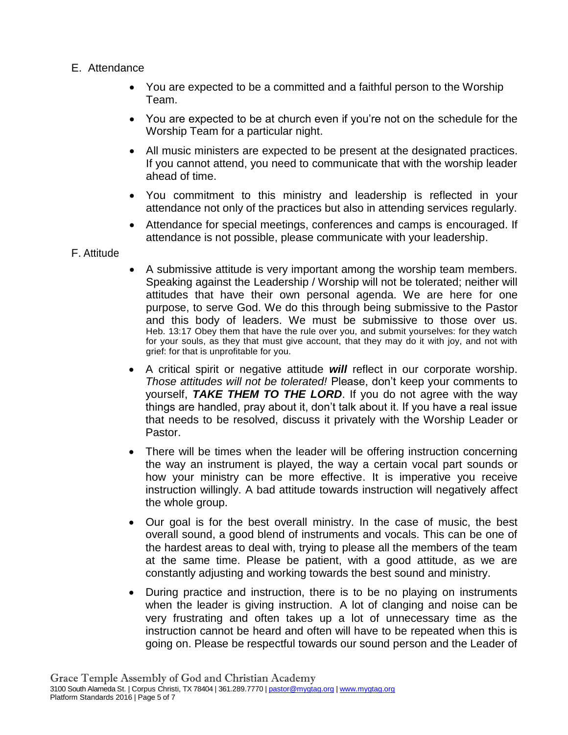### E. Attendance

- You are expected to be a committed and a faithful person to the Worship Team.
- You are expected to be at church even if you're not on the schedule for the Worship Team for a particular night.
- All music ministers are expected to be present at the designated practices. If you cannot attend, you need to communicate that with the worship leader ahead of time.
- You commitment to this ministry and leadership is reflected in your attendance not only of the practices but also in attending services regularly.
- Attendance for special meetings, conferences and camps is encouraged. If attendance is not possible, please communicate with your leadership.

### F. Attitude

- A submissive attitude is very important among the worship team members. Speaking against the Leadership / Worship will not be tolerated; neither will attitudes that have their own personal agenda. We are here for one purpose, to serve God. We do this through being submissive to the Pastor and this body of leaders. We must be submissive to those over us. Heb. 13:17 Obey them that have the rule over you, and submit yourselves: for they watch for your souls, as they that must give account, that they may do it with joy, and not with grief: for that is unprofitable for you.
- A critical spirit or negative attitude *will* reflect in our corporate worship. *Those attitudes will not be tolerated!* Please, don't keep your comments to yourself, *TAKE THEM TO THE LORD*. If you do not agree with the way things are handled, pray about it, don't talk about it. If you have a real issue that needs to be resolved, discuss it privately with the Worship Leader or Pastor.
- There will be times when the leader will be offering instruction concerning the way an instrument is played, the way a certain vocal part sounds or how your ministry can be more effective. It is imperative you receive instruction willingly. A bad attitude towards instruction will negatively affect the whole group.
- Our goal is for the best overall ministry. In the case of music, the best overall sound, a good blend of instruments and vocals. This can be one of the hardest areas to deal with, trying to please all the members of the team at the same time. Please be patient, with a good attitude, as we are constantly adjusting and working towards the best sound and ministry.
- During practice and instruction, there is to be no playing on instruments when the leader is giving instruction. A lot of clanging and noise can be very frustrating and often takes up a lot of unnecessary time as the instruction cannot be heard and often will have to be repeated when this is going on. Please be respectful towards our sound person and the Leader of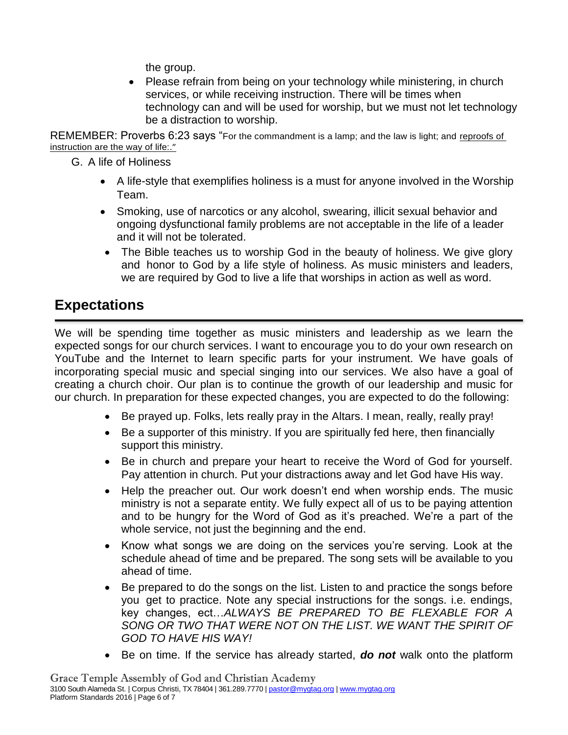the group.

• Please refrain from being on your technology while ministering, in church services, or while receiving instruction. There will be times when technology can and will be used for worship, but we must not let technology be a distraction to worship.

REMEMBER: Proverbs 6:23 says "For the commandment is a lamp; and the law is light; and reproofs of instruction are the way of life:."

G. A life of Holiness

- A life-style that exemplifies holiness is a must for anyone involved in the Worship Team.
- Smoking, use of narcotics or any alcohol, swearing, illicit sexual behavior and ongoing dysfunctional family problems are not acceptable in the life of a leader and it will not be tolerated.
- The Bible teaches us to worship God in the beauty of holiness. We give glory and honor to God by a life style of holiness. As music ministers and leaders, we are required by God to live a life that worships in action as well as word.

## **Expectations**

We will be spending time together as music ministers and leadership as we learn the expected songs for our church services. I want to encourage you to do your own research on YouTube and the Internet to learn specific parts for your instrument. We have goals of incorporating special music and special singing into our services. We also have a goal of creating a church choir. Our plan is to continue the growth of our leadership and music for our church. In preparation for these expected changes, you are expected to do the following:

- Be prayed up. Folks, lets really pray in the Altars. I mean, really, really pray!
- Be a supporter of this ministry. If you are spiritually fed here, then financially support this ministry.
- Be in church and prepare your heart to receive the Word of God for yourself. Pay attention in church. Put your distractions away and let God have His way.
- Help the preacher out. Our work doesn't end when worship ends. The music ministry is not a separate entity. We fully expect all of us to be paying attention and to be hungry for the Word of God as it's preached. We're a part of the whole service, not just the beginning and the end.
- Know what songs we are doing on the services you're serving. Look at the schedule ahead of time and be prepared. The song sets will be available to you ahead of time.
- Be prepared to do the songs on the list. Listen to and practice the songs before you get to practice. Note any special instructions for the songs. i.e. endings, key changes, ect…*ALWAYS BE PREPARED TO BE FLEXABLE FOR A*  SONG OR TWO THAT WERE NOT ON THE LIST. WE WANT THE SPIRIT OF *GOD TO HAVE HIS WAY!*
- Be on time. If the service has already started, *do not* walk onto the platform